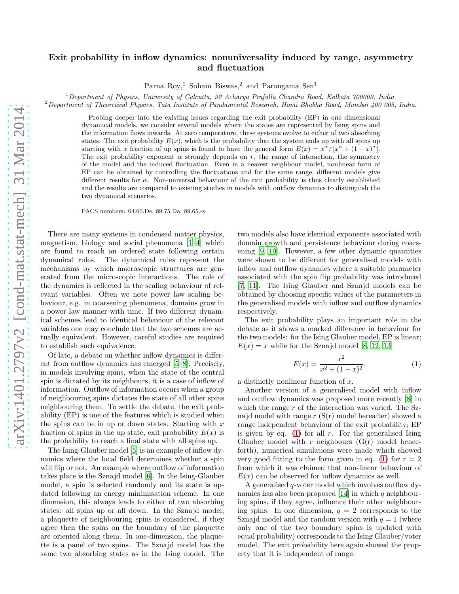## Exit probability in inflow dynamics: nonuniversality induced by range, asymmetry and fluctuation

Parna Roy,<sup>1</sup> Soham Biswas,<sup>2</sup> and Parongama Sen<sup>1</sup>

 $1$ Department of Physics, University of Calcutta, 92 Acharya Prafulla Chandra Road, Kolkata 700009, India.

<sup>2</sup>Department of Theoretical Physics, Tata Institute of Fundamental Research, Homi Bhabha Road, Mumbai 400 005, India.

Probing deeper into the existing issues regarding the exit probability (EP) in one dimensional dynamical models, we consider several models where the states are represented by Ising spins and the information flows inwards. At zero temperature, these systems evolve to either of two absorbing states. The exit probability  $E(x)$ , which is the probability that the system ends up with all spins up starting with x fraction of up spins is found to have the general form  $E(x) = x^{\alpha}/[x^{\alpha} + (1-x)^{\alpha}]$ . The exit probability exponent  $\alpha$  strongly depends on r, the range of interaction, the symmetry of the model and the induced fluctuation. Even in a nearest neighbour model, nonlinear form of EP can be obtained by controlling the fluctuations and for the same range, different models give different results for α. Non-universal behaviour of the exit probability is thus clearly established and the results are compared to existing studies in models with outflow dynamics to distinguish the two dynamical scenarios.

PACS numbers: 64.60.De, 89.75.Da, 89.65.-s

There are many systems in condensed matter physics, magnetism, biology and social phenomena [\[1](#page-3-0)[–4\]](#page-4-0) which are found to reach an ordered state following certain dynamical rules. The dynamical rules represent the mechanisms by which macroscopic structures are generated from the microscopic interactions. The role of the dynamics is reflected in the scaling behaviour of relevant variables. Often we note power law scaling behaviour, e.g. in coarsening phenomena, domains grow in a power law manner with time. If two different dynamical schemes lead to identical behaviour of the relevant variables one may conclude that the two schemes are actually equivalent. However, careful studies are required to establish such equivalence.

Of late, a debate on whether inflow dynamics is different from outflow dynamics has emerged [\[5](#page-4-1)[–8\]](#page-4-2). Precisely, in models involving spins, when the state of the central spin is dictated by its neighbours, it is a case of inflow of information. Outflow of information occurs when a group of neighbouring spins dictates the state of all other spins neighbouring them. To settle the debate, the exit probability (EP) is one of the features which is studied when the spins can be in up or down states. Starting with  $x$ fraction of spins in the up state, exit probability  $E(x)$  is the probability to reach a final state with all spins up.

The Ising-Glauber model [\[5\]](#page-4-1) is an example of inflow dynamics where the local field determines whether a spin will flip or not. An example where outflow of information takes place is the Sznajd model [\[6\]](#page-4-3). In the Ising-Glauber model, a spin is selected randomly and its state is updated following an energy minimisation scheme. In one dimension, this always leads to either of two absorbing states: all spins up or all down. In the Sznajd model, a plaquette of neighbouring spins is considered, if they agree then the spins on the boundary of the plaquette are oriented along them. In one-dimension, the plaquette is a panel of two spins. The Sznajd model has the same two absorbing states as in the Ising model. The two models also have identical exponents associated with domain growth and persistence behaviour during coarsening [\[9,](#page-4-4) [10\]](#page-4-5). However, a few other dynamic quantities were shown to be different for generalised models with inflow and outflow dynamics where a suitable parameter associated with the spin flip probability was introduced [\[7,](#page-4-6) [11](#page-4-7)]. The Ising Glauber and Sznajd models can be obtained by choosing specific values of the parameters in the generalised models with inflow and outflow dynamics respectively.

The exit probability plays an important role in the debate as it shows a marked difference in behaviour for the two models: for the Ising Glauber model, EP is linear;  $E(x) = x$  while for the Sznajd model [\[8](#page-4-2), [12,](#page-4-8) [13\]](#page-4-9)

<span id="page-0-0"></span>
$$
E(x) = \frac{x^2}{x^2 + (1 - x)^2},
$$
\n(1)

a distinctly nonlinear function of x.

Another version of a generalised model with inflow and outflow dynamics was proposed more recently [\[8\]](#page-4-2) in which the range  $r$  of the interaction was varied. The Sznajd model with range  $r(S(r) \text{ model hereafter})$  showed a range independent behaviour of the exit probability; EP is given by eq. [\(1\)](#page-0-0) for all  $r$ . For the generalised Ising Glauber model with  $r$  neighbours  $(G(r)$  model henceforth), numerical simulations were made which showed very good fitting to the form given in eq. [\(1\)](#page-0-0) for  $r = 2$ from which it was claimed that non-linear behaviour of  $E(x)$  can be observed for inflow dynamics as well.

A generalised q-voter model which involves outflow dy-namics has also been proposed [\[14\]](#page-4-10) in which  $q$  neighbouring spins, if they agree, influence their other neighbouring spins. In one dimension,  $q = 2$  corresponds to the Sznajd model and the random version with  $q = 1$  (where only one of the two boundary spins is updated with equal probability) corresponds to the Ising Glauber/voter model. The exit probability here again showed the property that it is independent of range.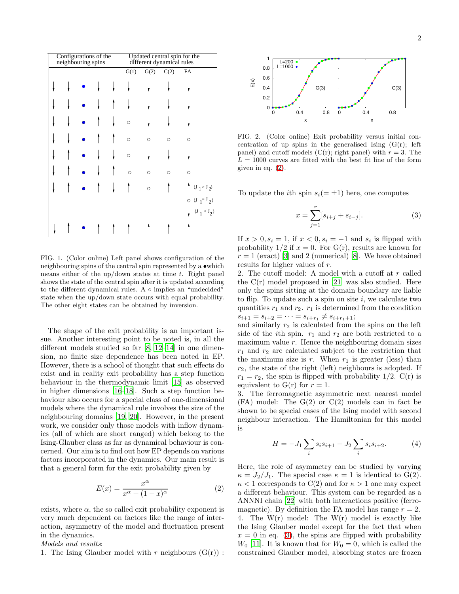| Configurations of the<br>neighbouring spins |  |  |  |  | Updated central spin for the<br>different dynamical rules |         |         |                                |
|---------------------------------------------|--|--|--|--|-----------------------------------------------------------|---------|---------|--------------------------------|
|                                             |  |  |  |  | G(1)                                                      | G(2)    | C(2)    | FA                             |
|                                             |  |  |  |  |                                                           |         |         |                                |
|                                             |  |  |  |  |                                                           |         |         |                                |
|                                             |  |  |  |  | $\circ$                                                   |         |         |                                |
|                                             |  |  |  |  | $\circ$                                                   | O       | $\circ$ | $\circ$                        |
|                                             |  |  |  |  | $\circ$                                                   |         |         |                                |
|                                             |  |  |  |  | $\circ$                                                   | O       | $\circ$ | $\circ$                        |
|                                             |  |  |  |  |                                                           | $\circ$ |         | $(J_1 > J_2)$                  |
|                                             |  |  |  |  |                                                           |         |         | $O (J_1 = J_2)$<br>$J_1 < J_2$ |
|                                             |  |  |  |  |                                                           |         |         |                                |

<span id="page-1-2"></span>FIG. 1. (Color online) Left panel shows configuration of the neighbouring spins of the central spin represented by a •which means either of the up/down states at time  $t$ . Right panel shows the state of the central spin after it is updated according to the different dynamical rules. A ∘ implies an "undecided" state when the up/down state occurs with equal probability. The other eight states can be obtained by inversion.

The shape of the exit probability is an important issue. Another interesting point to be noted is, in all the different models studied so far [\[8,](#page-4-2) [12–](#page-4-8)[14\]](#page-4-10) in one dimension, no finite size dependence has been noted in EP. However, there is a school of thought that such effects do exist and in reality exit probability has a step function behaviour in the thermodynamic limit [\[15](#page-4-11)] as observed in higher dimensions [\[16](#page-4-12)[–18](#page-4-13)]. Such a step function behaviour also occurs for a special class of one-dimensional models where the dynamical rule involves the size of the neighbouring domains [\[19,](#page-4-14) [20](#page-4-15)]. However, in the present work, we consider only those models with inflow dynamics (all of which are short ranged) which belong to the Ising-Glauber class as far as dynamical behaviour is concerned. Our aim is to find out how EP depends on various factors incorporated in the dynamics. Our main result is that a general form for the exit probability given by

<span id="page-1-0"></span>
$$
E(x) = \frac{x^{\alpha}}{x^{\alpha} + (1 - x)^{\alpha}}
$$
 (2)

exists, where  $\alpha$ , the so called exit probability exponent is very much dependent on factors like the range of interaction, asymmetry of the model and fluctuation present in the dynamics.

Models and results:

1. The Ising Glauber model with r neighbours  $(G(r))$ :



<span id="page-1-3"></span>FIG. 2. (Color online) Exit probability versus initial concentration of up spins in the generalised Ising  $(G(r))$ ; left panel) and cutoff models  $(C(r))$ ; right panel) with  $r = 3$ . The  $L = 1000$  curves are fitted with the best fit line of the form given in eq. [\(2\)](#page-1-0).

To update the *i*th spin  $s_i(=\pm 1)$  here, one computes

<span id="page-1-1"></span>
$$
x = \sum_{j=1}^{r} [s_{i+j} + s_{i-j}].
$$
 (3)

If  $x > 0, s_i = 1$ , if  $x < 0, s_i = -1$  and  $s_i$  is flipped with probability  $1/2$  if  $x = 0$ . For  $G(r)$ , results are known for  $r = 1$  (exact) [\[3\]](#page-4-16) and 2 (numerical) [\[8\]](#page-4-2). We have obtained results for higher values of r.

2. The cutoff model: A model with a cutoff at r called the  $C(r)$  model proposed in [\[21](#page-4-17)] was also studied. Here only the spins sitting at the domain boundary are liable to flip. To update such a spin on site  $i$ , we calculate two quantities  $r_1$  and  $r_2$ .  $r_1$  is determined from the condition  $s_{i+1} = s_{i+2} = \cdots = s_{i+r_1} \neq s_{i+r_1+1};$ 

and similarly  $r_2$  is calculated from the spins on the left side of the *i*th spin.  $r_1$  and  $r_2$  are both restricted to a maximum value  $r$ . Hence the neighbouring domain sizes  $r_1$  and  $r_2$  are calculated subject to the restriction that the maximum size is r. When  $r_1$  is greater (less) than  $r_2$ , the state of the right (left) neighbours is adopted. If  $r_1 = r_2$ , the spin is flipped with probability 1/2. C(r) is equivalent to  $G(r)$  for  $r = 1$ .

3. The ferromagnetic asymmetric next nearest model  $(FA)$  model: The  $G(2)$  or  $C(2)$  models can in fact be shown to be special cases of the Ising model with second neighbour interaction. The Hamiltonian for this model is

$$
H = -J_1 \sum_{i} s_i s_{i+1} - J_2 \sum_{i} s_i s_{i+2}.
$$
 (4)

Here, the role of asymmetry can be studied by varying  $\kappa = J_2/J_1$ . The special case  $\kappa = 1$  is identical to G(2).  $\kappa < 1$  corresponds to C(2) and for  $\kappa > 1$  one may expect a different behaviour. This system can be regarded as a ANNNI chain [\[22\]](#page-4-18) with both interactions positive (ferromagnetic). By definition the FA model has range  $r = 2$ . 4. The  $W(r)$  model: The  $W(r)$  model is exactly like the Ising Glauber model except for the fact that when  $x = 0$  in eq. [\(3\)](#page-1-1), the spins are flipped with probability  $W_0$  [\[11\]](#page-4-7). It is known that for  $W_0 = 0$ , which is called the constrained Glauber model, absorbing states are frozen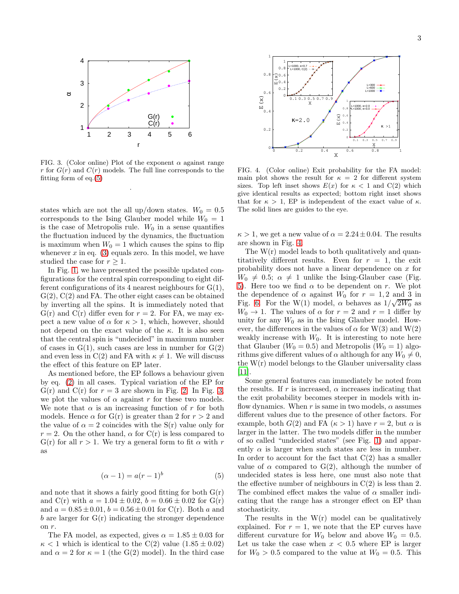

<span id="page-2-1"></span>FIG. 3. (Color online) Plot of the exponent  $\alpha$  against range r for  $G(r)$  and  $C(r)$  models. The full line corresponds to the fitting form of eq.[\(5\)](#page-2-0)

.

states which are not the all up/down states.  $W_0 = 0.5$ corresponds to the Ising Glauber model while  $W_0 = 1$ is the case of Metropolis rule.  $W_0$  in a sense quantifies the fluctuation induced by the dynamics, the fluctuation is maximum when  $W_0 = 1$  which causes the spins to flip whenever  $x$  in eq. [\(3\)](#page-1-1) equals zero. In this model, we have studied the case for  $r \geq 1$ .

In Fig. [1,](#page-1-2) we have presented the possible updated configurations for the central spin corresponding to eight different configurations of its 4 nearest neighbours for  $G(1)$ ,  $G(2)$ ,  $C(2)$  and FA. The other eight cases can be obtained by inverting all the spins. It is immediately noted that  $G(r)$  and  $C(r)$  differ even for  $r = 2$ . For FA, we may expect a new value of  $\alpha$  for  $\kappa > 1$ , which, however, should not depend on the exact value of the  $\kappa$ . It is also seen that the central spin is "undecided" in maximum number of cases in  $G(1)$ , such cases are less in number for  $G(2)$ and even less in C(2) and FA with  $\kappa \neq 1$ . We will discuss the effect of this feature on EP later.

As mentioned before, the EP follows a behaviour given by eq. [\(2\)](#page-1-0) in all cases. Typical variation of the EP for  $G(r)$  and  $C(r)$  for  $r = 3$  are shown in Fig. [2.](#page-1-3) In Fig. [3,](#page-2-1) we plot the values of  $\alpha$  against r for these two models. We note that  $\alpha$  is an increasing function of r for both models. Hence  $\alpha$  for  $G(r)$  is greater than 2 for  $r > 2$  and the value of  $\alpha = 2$  coincides with the S(r) value only for  $r = 2$ . On the other hand,  $\alpha$  for C(r) is less compared to G(r) for all  $r > 1$ . We try a general form to fit  $\alpha$  with r as

<span id="page-2-0"></span>
$$
(\alpha - 1) = a(r - 1)^b \tag{5}
$$

and note that it shows a fairly good fitting for both  $G(r)$ and C(r) with  $a = 1.04 \pm 0.02$ ,  $b = 0.66 \pm 0.02$  for G(r) and  $a = 0.85 \pm 0.01$ ,  $b = 0.56 \pm 0.01$  for C(r). Both a and b are larger for  $G(r)$  indicating the stronger dependence on r.

The FA model, as expected, gives  $\alpha = 1.85 \pm 0.03$  for  $\kappa$  < 1 which is identical to the C(2) value (1.85  $\pm$  0.02) and  $\alpha = 2$  for  $\kappa = 1$  (the G(2) model). In the third case



<span id="page-2-2"></span>FIG. 4. (Color online) Exit probability for the FA model: main plot shows the result for  $\kappa = 2$  for different system sizes. Top left inset shows  $E(x)$  for  $\kappa < 1$  and  $C(2)$  which give identical results as expected; bottom right inset shows that for  $\kappa > 1$ , EP is independent of the exact value of  $\kappa$ . The solid lines are guides to the eye.

 $\kappa > 1$ , we get a new value of  $\alpha = 2.24 \pm 0.04$ . The results are shown in Fig. [4.](#page-2-2)

The  $W(r)$  model leads to both qualitatively and quantitatively different results. Even for  $r = 1$ , the exit probability does not have a linear dependence on x for  $W_0 \neq 0.5$ ;  $\alpha \neq 1$  unlike the Ising-Glauber case (Fig. [5\)](#page-3-1). Here too we find  $\alpha$  to be dependent on r. We plot the dependence of  $\alpha$  against  $W_0$  for  $r = 1, 2$  and 3 in Fig. [6.](#page-3-2) For the W(1) model,  $\alpha$  behaves as  $1/\sqrt{2W_0}$  as  $W_0 \rightarrow 1$ . The values of  $\alpha$  for  $r = 2$  and  $r = 1$  differ by unity for any  $W_0$  as in the Ising Glauber model. However, the differences in the values of  $\alpha$  for W(3) and W(2) weakly increase with  $W_0$ . It is interesting to note here that Glauber ( $W_0 = 0.5$ ) and Metropolis ( $W_0 = 1$ ) algorithms give different values of  $\alpha$  although for any  $W_0 \neq 0$ , the  $W(r)$  model belongs to the Glauber universality class [\[11\]](#page-4-7).

Some general features can immediately be noted from the results. If r is increased,  $\alpha$  increases indicating that the exit probability becomes steeper in models with inflow dynamics. When r is same in two models,  $\alpha$  assumes different values due to the presence of other factors. For example, both  $G(2)$  and FA  $(\kappa > 1)$  have  $r = 2$ , but  $\alpha$  is larger in the latter. The two models differ in the number of so called "undecided states" (see Fig. [1\)](#page-1-2) and apparently  $\alpha$  is larger when such states are less in number. In order to account for the fact that  $C(2)$  has a smaller value of  $\alpha$  compared to G(2), although the number of undecided states is less here, one must also note that the effective number of neighbours in  $C(2)$  is less than 2. The combined effect makes the value of  $\alpha$  smaller indicating that the range has a stronger effect on EP than stochasticity.

The results in the  $W(r)$  model can be qualitatively explained. For  $r = 1$ , we note that the EP curves have different curvature for  $W_0$  below and above  $W_0 = 0.5$ . Let us take the case when  $x < 0.5$  where EP is larger for  $W_0 > 0.5$  compared to the value at  $W_0 = 0.5$ . This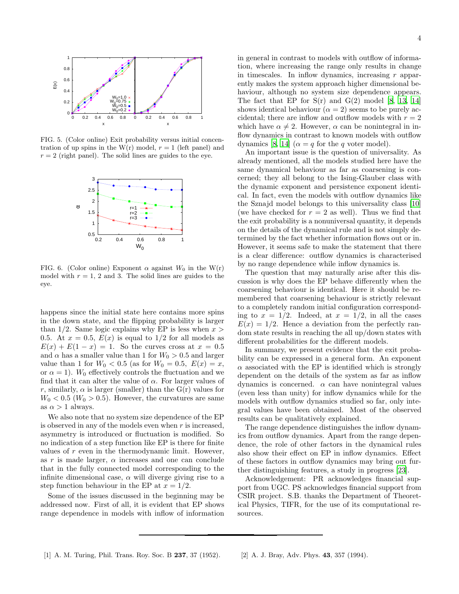

<span id="page-3-1"></span>FIG. 5. (Color online) Exit probability versus initial concentration of up spins in the W(r) model,  $r = 1$  (left panel) and  $r = 2$  (right panel). The solid lines are guides to the eye.



<span id="page-3-2"></span>FIG. 6. (Color online) Exponent  $\alpha$  against  $W_0$  in the W(r) model with  $r = 1$ , 2 and 3. The solid lines are guides to the eye.

happens since the initial state here contains more spins in the down state, and the flipping probability is larger than  $1/2$ . Same logic explains why EP is less when  $x >$ 0.5. At  $x = 0.5$ ,  $E(x)$  is equal to 1/2 for all models as  $E(x) + E(1-x) = 1$ . So the curves cross at  $x = 0.5$ and  $\alpha$  has a smaller value than 1 for  $W_0 > 0.5$  and larger value than 1 for  $W_0 < 0.5$  (as for  $W_0 = 0.5$ ,  $E(x) = x$ , or  $\alpha = 1$ ). W<sub>0</sub> effectively controls the fluctuation and we find that it can alter the value of  $\alpha$ . For larger values of r, similarly,  $\alpha$  is larger (smaller) than the G(r) values for  $W_0 < 0.5$  ( $W_0 > 0.5$ ). However, the curvatures are same as  $\alpha > 1$  always.

We also note that no system size dependence of the EP is observed in any of the models even when  $r$  is increased, asymmetry is introduced or fluctuation is modified. So no indication of a step function like EP is there for finite values of  $r$  even in the thermodynamic limit. However, as r is made larger,  $\alpha$  increases and one can conclude that in the fully connected model corresponding to the infinite dimensional case,  $\alpha$  will diverge giving rise to a step function behaviour in the EP at  $x = 1/2$ .

<span id="page-3-0"></span>Some of the issues discussed in the beginning may be addressed now. First of all, it is evident that EP shows range dependence in models with inflow of information

in general in contrast to models with outflow of information, where increasing the range only results in change in timescales. In inflow dynamics, increasing  $r$  apparently makes the system approach higher dimensional behaviour, although no system size dependence appears. The fact that EP for  $S(r)$  and  $G(2)$  model [\[8,](#page-4-2) [13,](#page-4-9) [14](#page-4-10)] shows identical behaviour ( $\alpha = 2$ ) seems to be purely accidental; there are inflow and outflow models with  $r = 2$ which have  $\alpha \neq 2$ . However,  $\alpha$  can be nonintegral in inflow dynamics in contrast to known models with outflow dynamics [\[8,](#page-4-2) [14\]](#page-4-10) ( $\alpha = q$  for the q voter model).

An important issue is the question of universality. As already mentioned, all the models studied here have the same dynamical behaviour as far as coarsening is concerned; they all belong to the Ising-Glauber class with the dynamic exponent and persistence exponent identical. In fact, even the models with outflow dynamics like the Sznajd model belongs to this universality class [\[10](#page-4-5)] (we have checked for  $r = 2$  as well). Thus we find that the exit probability is a nonuniversal quantity, it depends on the details of the dynamical rule and is not simply determined by the fact whether information flows out or in. However, it seems safe to make the statement that there is a clear difference: outflow dynamics is characterised by no range dependence while inflow dynamics is.

The question that may naturally arise after this discussion is why does the EP behave differently when the coarsening behaviour is identical. Here it should be remembered that coarsening behaviour is strictly relevant to a completely random initial configuration corresponding to  $x = 1/2$ . Indeed, at  $x = 1/2$ , in all the cases  $E(x) = 1/2$ . Hence a deviation from the perfectly random state results in reaching the all up/down states with different probabilities for the different models.

In summary, we present evidence that the exit probability can be expressed in a general form. An exponent  $\alpha$  associated with the EP is identified which is strongly dependent on the details of the system as far as inflow dynamics is concerned.  $\alpha$  can have nonintegral values (even less than unity) for inflow dynamics while for the models with outflow dynamics studied so far, only integral values have been obtained. Most of the observed results can be qualitatively explained.

The range dependence distinguishes the inflow dynamics from outflow dynamics. Apart from the range dependence, the role of other factors in the dynamical rules also show their effect on EP in inflow dynamics. Effect of these factors in outflow dynamics may bring out further distinguishing features, a study in progress [\[23](#page-4-19)].

Acknowledgement: PR acknowledges financial support from UGC. PS acknowledges financial support from CSIR project. S.B. thanks the Department of Theoretical Physics, TIFR, for the use of its computational resources.